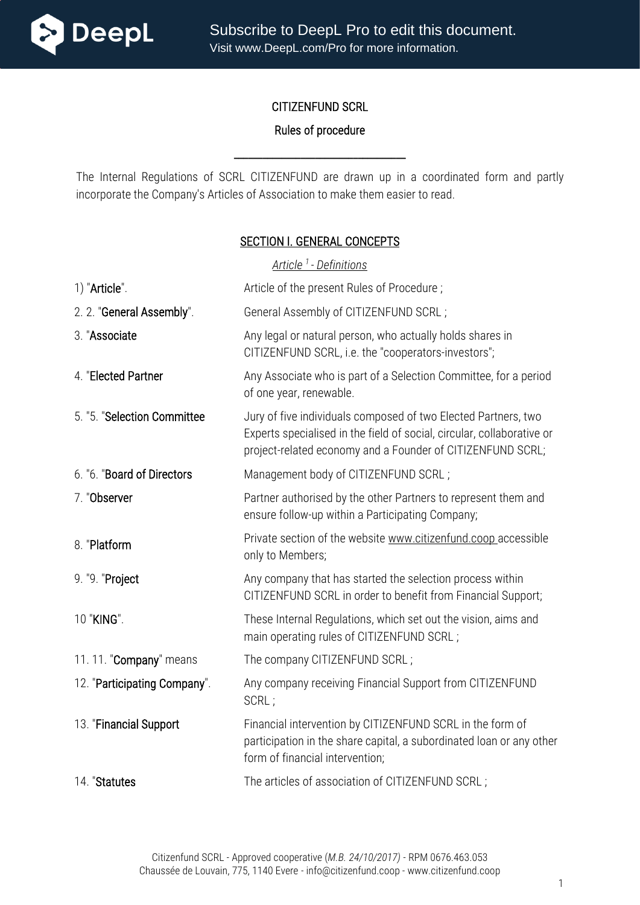

Subscribe to DeepL Pro to edit this document. Visit www.DeepL.com/Pro for more information.

#### CITIZENFUND SCRL

#### Rules of procedure

The Internal Regulations of SCRL CITIZENFUND are drawn up in a coordinated form and partly incorporate the Company's Articles of Association to make them easier to read.

\_\_\_\_\_\_\_\_\_\_\_\_\_\_\_\_\_\_\_\_\_\_\_\_\_\_\_\_\_\_\_\_\_\_\_\_

#### SECTION I. GENERAL CONCEPTS

| Article <sup>1</sup> - Definitions |                                                                                                                                                                                                        |
|------------------------------------|--------------------------------------------------------------------------------------------------------------------------------------------------------------------------------------------------------|
| 1) "Article".                      | Article of the present Rules of Procedure;                                                                                                                                                             |
| 2. 2. "General Assembly".          | General Assembly of CITIZENFUND SCRL;                                                                                                                                                                  |
| 3. "Associate                      | Any legal or natural person, who actually holds shares in<br>CITIZENFUND SCRL, i.e. the "cooperators-investors";                                                                                       |
| 4. "Elected Partner                | Any Associate who is part of a Selection Committee, for a period<br>of one year, renewable.                                                                                                            |
| 5. "5. "Selection Committee        | Jury of five individuals composed of two Elected Partners, two<br>Experts specialised in the field of social, circular, collaborative or<br>project-related economy and a Founder of CITIZENFUND SCRL; |
| 6. "6. "Board of Directors         | Management body of CITIZENFUND SCRL;                                                                                                                                                                   |
| 7. "Observer                       | Partner authorised by the other Partners to represent them and<br>ensure follow-up within a Participating Company;                                                                                     |
| 8. "Platform                       | Private section of the website www.citizenfund.coop accessible<br>only to Members;                                                                                                                     |
| 9. "9. "Project                    | Any company that has started the selection process within<br>CITIZENFUND SCRL in order to benefit from Financial Support;                                                                              |
| 10 "KING".                         | These Internal Regulations, which set out the vision, aims and<br>main operating rules of CITIZENFUND SCRL;                                                                                            |
| 11.11. "Company" means             | The company CITIZENFUND SCRL;                                                                                                                                                                          |
| 12. "Participating Company".       | Any company receiving Financial Support from CITIZENFUND<br>SCRL;                                                                                                                                      |
| 13. "Financial Support             | Financial intervention by CITIZENFUND SCRL in the form of<br>participation in the share capital, a subordinated loan or any other<br>form of financial intervention;                                   |
| 14. "Statutes                      | The articles of association of CITIZENFUND SCRL;                                                                                                                                                       |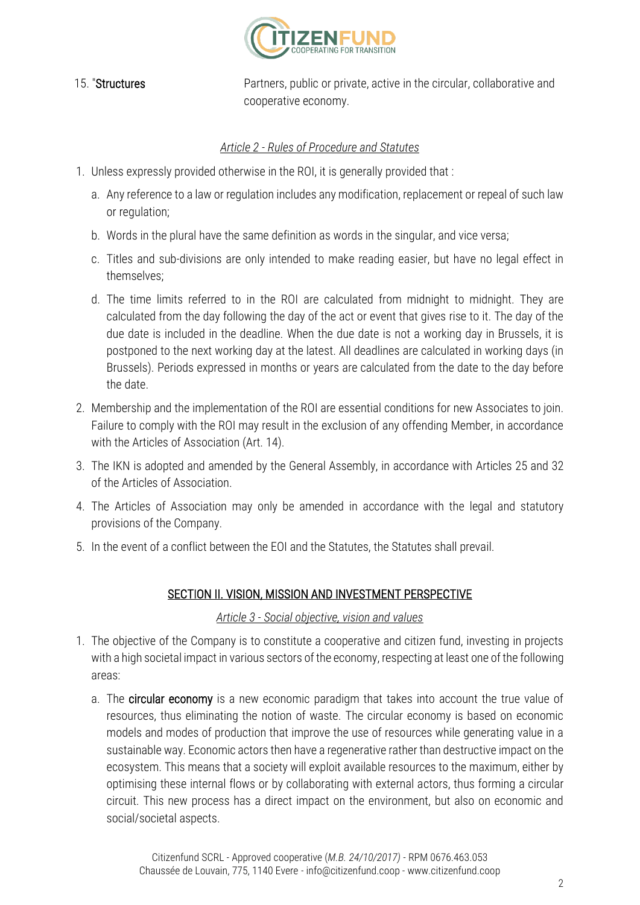

15. "Structures **Partners**, public or private, active in the circular, collaborative and cooperative economy.

#### *Article 2 - Rules of Procedure and Statutes*

- 1. Unless expressly provided otherwise in the ROI, it is generally provided that :
	- a. Any reference to a law or regulation includes any modification, replacement or repeal of such law or regulation;
	- b. Words in the plural have the same definition as words in the singular, and vice versa;
	- c. Titles and sub-divisions are only intended to make reading easier, but have no legal effect in themselves;
	- d. The time limits referred to in the ROI are calculated from midnight to midnight. They are calculated from the day following the day of the act or event that gives rise to it. The day of the due date is included in the deadline. When the due date is not a working day in Brussels, it is postponed to the next working day at the latest. All deadlines are calculated in working days (in Brussels). Periods expressed in months or years are calculated from the date to the day before the date.
- 2. Membership and the implementation of the ROI are essential conditions for new Associates to join. Failure to comply with the ROI may result in the exclusion of any offending Member, in accordance with the Articles of Association (Art. 14).
- 3. The IKN is adopted and amended by the General Assembly, in accordance with Articles 25 and 32 of the Articles of Association.
- 4. The Articles of Association may only be amended in accordance with the legal and statutory provisions of the Company.
- 5. In the event of a conflict between the EOI and the Statutes, the Statutes shall prevail.

## SECTION II. VISION, MISSION AND INVESTMENT PERSPECTIVE

#### *Article 3 - Social objective, vision and values*

- 1. The objective of the Company is to constitute a cooperative and citizen fund, investing in projects with a high societal impact in various sectors of the economy, respecting at least one of the following areas:
	- a. The **circular economy** is a new economic paradigm that takes into account the true value of resources, thus eliminating the notion of waste. The circular economy is based on economic models and modes of production that improve the use of resources while generating value in a sustainable way. Economic actors then have a regenerative rather than destructive impact on the ecosystem. This means that a society will exploit available resources to the maximum, either by optimising these internal flows or by collaborating with external actors, thus forming a circular circuit. This new process has a direct impact on the environment, but also on economic and social/societal aspects.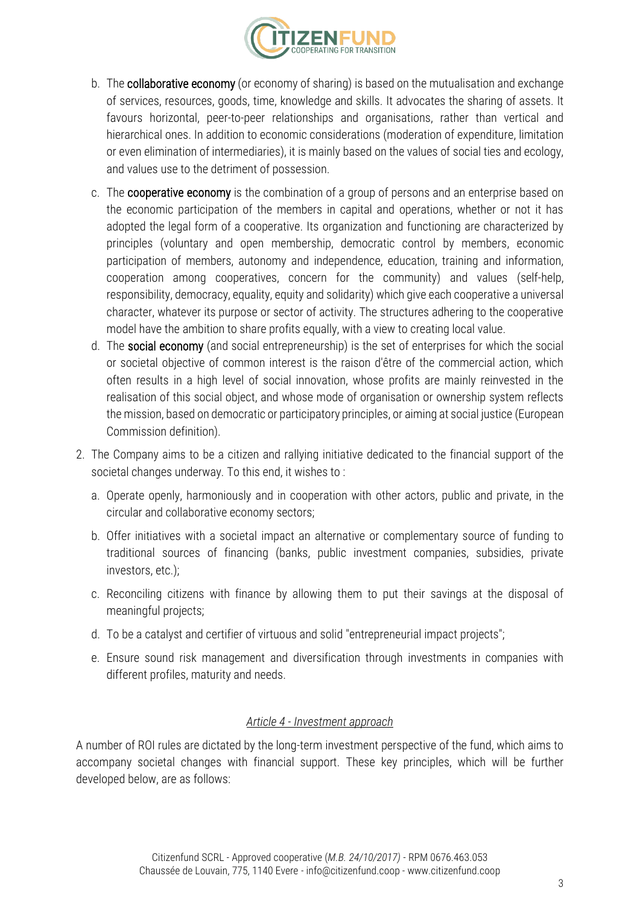

- b. The **collaborative economy** (or economy of sharing) is based on the mutualisation and exchange of services, resources, goods, time, knowledge and skills. It advocates the sharing of assets. It favours horizontal, peer-to-peer relationships and organisations, rather than vertical and hierarchical ones. In addition to economic considerations (moderation of expenditure, limitation or even elimination of intermediaries), it is mainly based on the values of social ties and ecology, and values use to the detriment of possession.
- c. The **cooperative economy** is the combination of a group of persons and an enterprise based on the economic participation of the members in capital and operations, whether or not it has adopted the legal form of a cooperative. Its organization and functioning are characterized by principles (voluntary and open membership, democratic control by members, economic participation of members, autonomy and independence, education, training and information, cooperation among cooperatives, concern for the community) and values (self-help, responsibility, democracy, equality, equity and solidarity) which give each cooperative a universal character, whatever its purpose or sector of activity. The structures adhering to the cooperative model have the ambition to share profits equally, with a view to creating local value.
- d. The social economy (and social entrepreneurship) is the set of enterprises for which the social or societal objective of common interest is the raison d'être of the commercial action, which often results in a high level of social innovation, whose profits are mainly reinvested in the realisation of this social object, and whose mode of organisation or ownership system reflects the mission, based on democratic or participatory principles, or aiming at social justice (European Commission definition).
- 2. The Company aims to be a citizen and rallying initiative dedicated to the financial support of the societal changes underway. To this end, it wishes to :
	- a. Operate openly, harmoniously and in cooperation with other actors, public and private, in the circular and collaborative economy sectors;
	- b. Offer initiatives with a societal impact an alternative or complementary source of funding to traditional sources of financing (banks, public investment companies, subsidies, private investors, etc.);
	- c. Reconciling citizens with finance by allowing them to put their savings at the disposal of meaningful projects;
	- d. To be a catalyst and certifier of virtuous and solid "entrepreneurial impact projects";
	- e. Ensure sound risk management and diversification through investments in companies with different profiles, maturity and needs.

#### *Article 4 - Investment approach*

A number of ROI rules are dictated by the long-term investment perspective of the fund, which aims to accompany societal changes with financial support. These key principles, which will be further developed below, are as follows: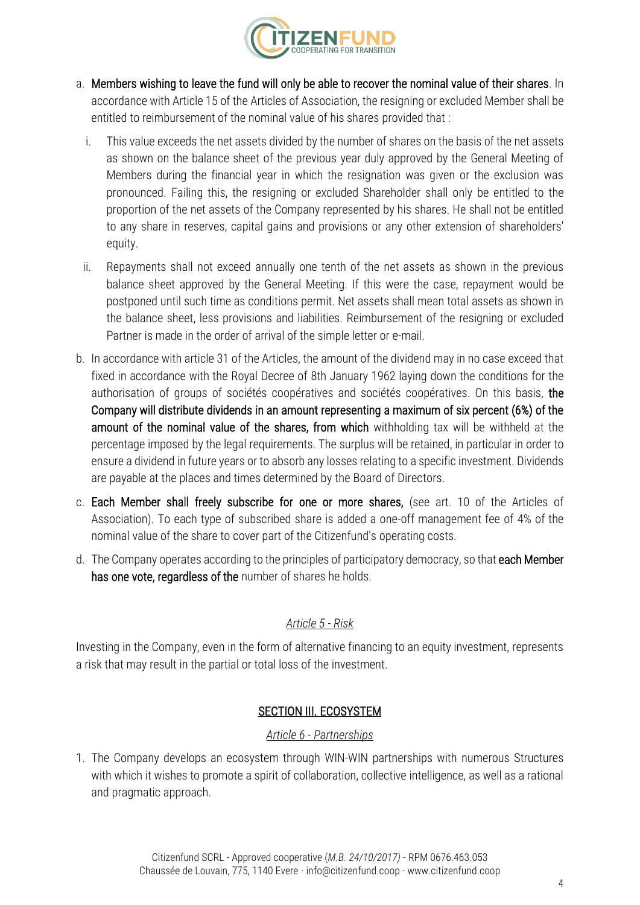

- a. Members wishing to leave the fund will only be able to recover the nominal value of their shares. In accordance with Article 15 of the Articles of Association, the resigning or excluded Member shall be entitled to reimbursement of the nominal value of his shares provided that :
	- i. This value exceeds the net assets divided by the number of shares on the basis of the net assets as shown on the balance sheet of the previous year duly approved by the General Meeting of Members during the financial year in which the resignation was given or the exclusion was pronounced. Failing this, the resigning or excluded Shareholder shall only be entitled to the proportion of the net assets of the Company represented by his shares. He shall not be entitled to any share in reserves, capital gains and provisions or any other extension of shareholders' equity.
	- ii. Repayments shall not exceed annually one tenth of the net assets as shown in the previous balance sheet approved by the General Meeting. If this were the case, repayment would be postponed until such time as conditions permit. Net assets shall mean total assets as shown in the balance sheet, less provisions and liabilities. Reimbursement of the resigning or excluded Partner is made in the order of arrival of the simple letter or e-mail.
- b. In accordance with article 31 of the Articles, the amount of the dividend may in no case exceed that fixed in accordance with the Royal Decree of 8th January 1962 laying down the conditions for the authorisation of groups of sociétés coopératives and sociétés coopératives. On this basis, the Company will distribute dividends in an amount representing a maximum of six percent (6%) of the amount of the nominal value of the shares, from which withholding tax will be withheld at the percentage imposed by the legal requirements. The surplus will be retained, in particular in order to ensure a dividend in future years or to absorb any losses relating to a specific investment. Dividends are payable at the places and times determined by the Board of Directors.
- c. Each Member shall freely subscribe for one or more shares, (see art. 10 of the Articles of Association). To each type of subscribed share is added a one-off management fee of 4% of the nominal value of the share to cover part of the Citizenfund's operating costs.
- d. The Company operates according to the principles of participatory democracy, so that each Member has one vote, regardless of the number of shares he holds.

## *Article 5 - Risk*

Investing in the Company, even in the form of alternative financing to an equity investment, represents a risk that may result in the partial or total loss of the investment.

# SECTION III. ECOSYSTEM

## *Article 6 - Partnerships*

1. The Company develops an ecosystem through WIN-WIN partnerships with numerous Structures with which it wishes to promote a spirit of collaboration, collective intelligence, as well as a rational and pragmatic approach.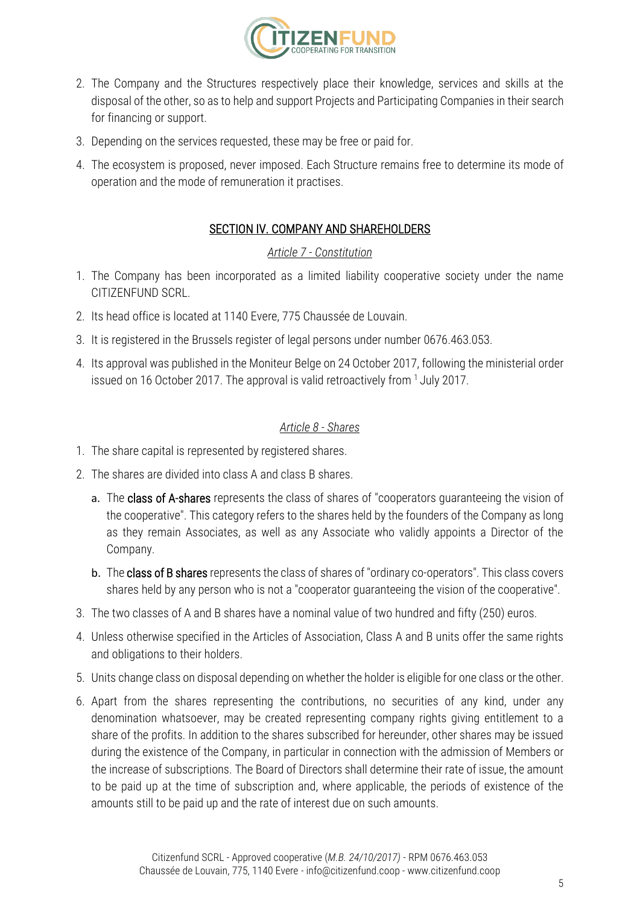

- 2. The Company and the Structures respectively place their knowledge, services and skills at the disposal of the other, so as to help and support Projects and Participating Companies in their search for financing or support.
- 3. Depending on the services requested, these may be free or paid for.
- 4. The ecosystem is proposed, never imposed. Each Structure remains free to determine its mode of operation and the mode of remuneration it practises.

#### SECTION IV. COMPANY AND SHAREHOLDERS

#### *Article 7 - Constitution*

- 1. The Company has been incorporated as a limited liability cooperative society under the name CITIZENFUND SCRL.
- 2. Its head office is located at 1140 Evere, 775 Chaussée de Louvain.
- 3. It is registered in the Brussels register of legal persons under number 0676.463.053.
- 4. Its approval was published in the Moniteur Belge on 24 October 2017, following the ministerial order issued on 16 October 2017. The approval is valid retroactively from  $1$  July 2017.

#### *Article 8 - Shares*

- 1. The share capital is represented by registered shares.
- 2. The shares are divided into class A and class B shares.
	- a. The class of A-shares represents the class of shares of "cooperators guaranteeing the vision of the cooperative". This category refers to the shares held by the founders of the Company as long as they remain Associates, as well as any Associate who validly appoints a Director of the Company.
	- b. The class of B shares represents the class of shares of "ordinary co-operators". This class covers shares held by any person who is not a "cooperator guaranteeing the vision of the cooperative".
- 3. The two classes of A and B shares have a nominal value of two hundred and fifty (250) euros.
- 4. Unless otherwise specified in the Articles of Association, Class A and B units offer the same rights and obligations to their holders.
- 5. Units change class on disposal depending on whether the holder is eligible for one class or the other.
- 6. Apart from the shares representing the contributions, no securities of any kind, under any denomination whatsoever, may be created representing company rights giving entitlement to a share of the profits. In addition to the shares subscribed for hereunder, other shares may be issued during the existence of the Company, in particular in connection with the admission of Members or the increase of subscriptions. The Board of Directors shall determine their rate of issue, the amount to be paid up at the time of subscription and, where applicable, the periods of existence of the amounts still to be paid up and the rate of interest due on such amounts.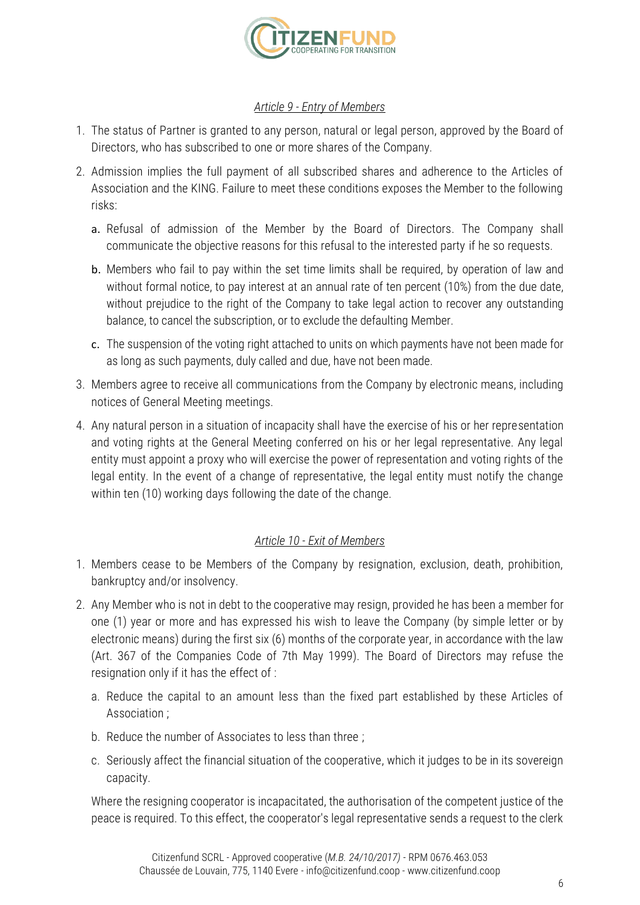

#### *Article 9 - Entry of Members*

- 1. The status of Partner is granted to any person, natural or legal person, approved by the Board of Directors, who has subscribed to one or more shares of the Company.
- 2. Admission implies the full payment of all subscribed shares and adherence to the Articles of Association and the KING. Failure to meet these conditions exposes the Member to the following risks:
	- a. Refusal of admission of the Member by the Board of Directors. The Company shall communicate the objective reasons for this refusal to the interested party if he so requests.
	- b. Members who fail to pay within the set time limits shall be required, by operation of law and without formal notice, to pay interest at an annual rate of ten percent (10%) from the due date, without prejudice to the right of the Company to take legal action to recover any outstanding balance, to cancel the subscription, or to exclude the defaulting Member.
	- c. The suspension of the voting right attached to units on which payments have not been made for as long as such payments, duly called and due, have not been made.
- 3. Members agree to receive all communications from the Company by electronic means, including notices of General Meeting meetings.
- 4. Any natural person in a situation of incapacity shall have the exercise of his or her representation and voting rights at the General Meeting conferred on his or her legal representative. Any legal entity must appoint a proxy who will exercise the power of representation and voting rights of the legal entity. In the event of a change of representative, the legal entity must notify the change within ten (10) working days following the date of the change.

## *Article 10 - Exit of Members*

- 1. Members cease to be Members of the Company by resignation, exclusion, death, prohibition, bankruptcy and/or insolvency.
- 2. Any Member who is not in debt to the cooperative may resign, provided he has been a member for one (1) year or more and has expressed his wish to leave the Company (by simple letter or by electronic means) during the first six (6) months of the corporate year, in accordance with the law (Art. 367 of the Companies Code of 7th May 1999). The Board of Directors may refuse the resignation only if it has the effect of :
	- a. Reduce the capital to an amount less than the fixed part established by these Articles of Association ;
	- b. Reduce the number of Associates to less than three ;
	- c. Seriously affect the financial situation of the cooperative, which it judges to be in its sovereign capacity.

Where the resigning cooperator is incapacitated, the authorisation of the competent justice of the peace is required. To this effect, the cooperator's legal representative sends a request to the clerk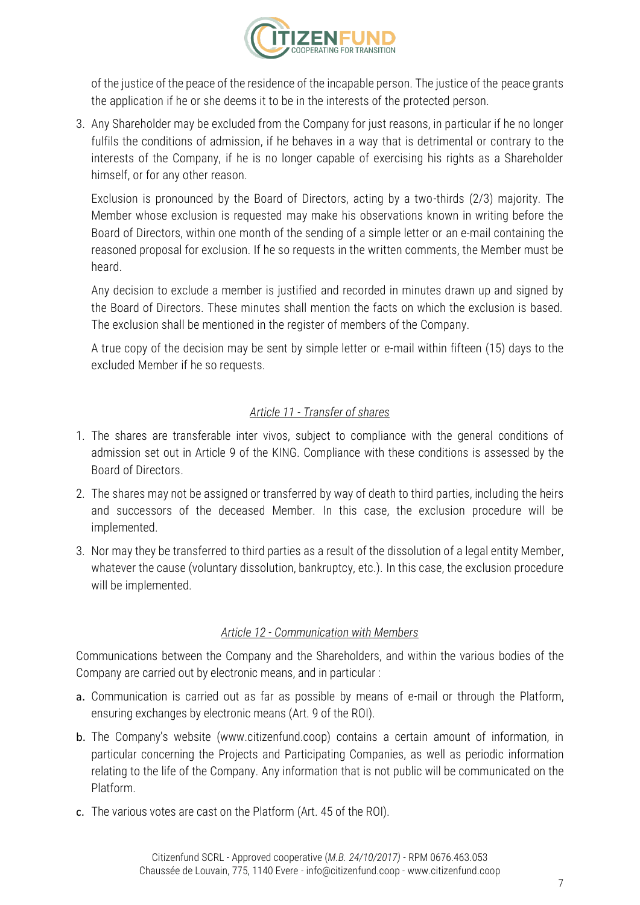

of the justice of the peace of the residence of the incapable person. The justice of the peace grants the application if he or she deems it to be in the interests of the protected person.

3. Any Shareholder may be excluded from the Company for just reasons, in particular if he no longer fulfils the conditions of admission, if he behaves in a way that is detrimental or contrary to the interests of the Company, if he is no longer capable of exercising his rights as a Shareholder himself, or for any other reason.

Exclusion is pronounced by the Board of Directors, acting by a two-thirds (2/3) majority. The Member whose exclusion is requested may make his observations known in writing before the Board of Directors, within one month of the sending of a simple letter or an e-mail containing the reasoned proposal for exclusion. If he so requests in the written comments, the Member must be heard.

Any decision to exclude a member is justified and recorded in minutes drawn up and signed by the Board of Directors. These minutes shall mention the facts on which the exclusion is based. The exclusion shall be mentioned in the register of members of the Company.

A true copy of the decision may be sent by simple letter or e-mail within fifteen (15) days to the excluded Member if he so requests.

## *Article 11 - Transfer of shares*

- 1. The shares are transferable inter vivos, subject to compliance with the general conditions of admission set out in Article 9 of the KING. Compliance with these conditions is assessed by the Board of Directors.
- 2. The shares may not be assigned or transferred by way of death to third parties, including the heirs and successors of the deceased Member. In this case, the exclusion procedure will be implemented.
- 3. Nor may they be transferred to third parties as a result of the dissolution of a legal entity Member, whatever the cause (voluntary dissolution, bankruptcy, etc.). In this case, the exclusion procedure will be implemented.

## *Article 12 - Communication with Members*

Communications between the Company and the Shareholders, and within the various bodies of the Company are carried out by electronic means, and in particular :

- a. Communication is carried out as far as possible by means of e-mail or through the Platform, ensuring exchanges by electronic means (Art. 9 of the ROI).
- b. The Company's website (www.citizenfund.coop) contains a certain amount of information, in particular concerning the Projects and Participating Companies, as well as periodic information relating to the life of the Company. Any information that is not public will be communicated on the Platform.
- c. The various votes are cast on the Platform (Art. 45 of the ROI).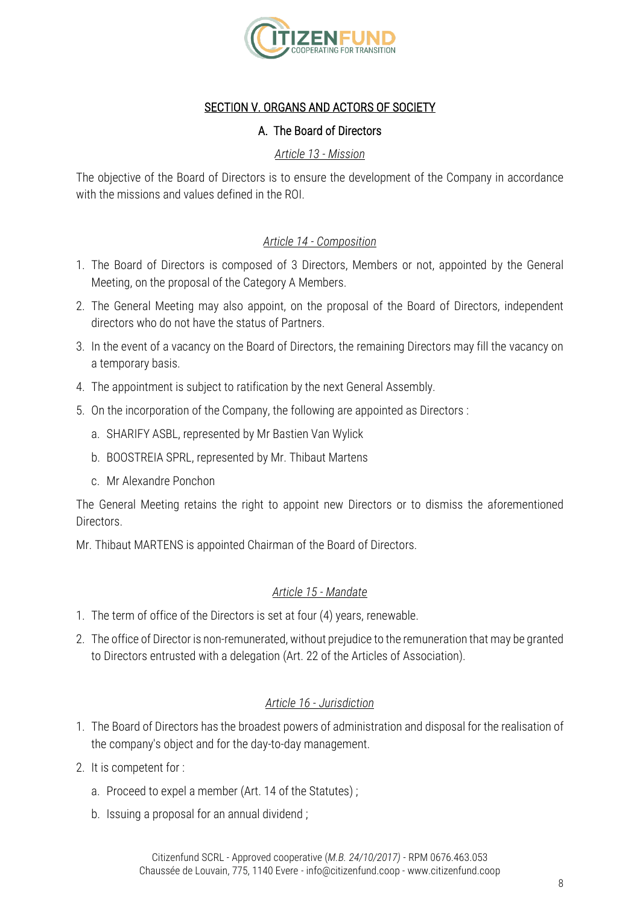

## SECTION V. ORGANS AND ACTORS OF SOCIETY

#### A. The Board of Directors

#### *Article 13 - Mission*

The objective of the Board of Directors is to ensure the development of the Company in accordance with the missions and values defined in the ROI.

## *Article 14 - Composition*

- 1. The Board of Directors is composed of 3 Directors, Members or not, appointed by the General Meeting, on the proposal of the Category A Members.
- 2. The General Meeting may also appoint, on the proposal of the Board of Directors, independent directors who do not have the status of Partners.
- 3. In the event of a vacancy on the Board of Directors, the remaining Directors may fill the vacancy on a temporary basis.
- 4. The appointment is subject to ratification by the next General Assembly.
- 5. On the incorporation of the Company, the following are appointed as Directors :
	- a. SHARIFY ASBL, represented by Mr Bastien Van Wylick
	- b. BOOSTREIA SPRL, represented by Mr. Thibaut Martens
	- c. Mr Alexandre Ponchon

The General Meeting retains the right to appoint new Directors or to dismiss the aforementioned Directors.

Mr. Thibaut MARTENS is appointed Chairman of the Board of Directors.

## *Article 15 - Mandate*

- 1. The term of office of the Directors is set at four (4) years, renewable.
- 2. The office of Director is non-remunerated, without prejudice to the remuneration that may be granted to Directors entrusted with a delegation (Art. 22 of the Articles of Association).

#### *Article 16 - Jurisdiction*

- 1. The Board of Directors has the broadest powers of administration and disposal for the realisation of the company's object and for the day-to-day management.
- 2. It is competent for :
	- a. Proceed to expel a member (Art. 14 of the Statutes) ;
	- b. Issuing a proposal for an annual dividend ;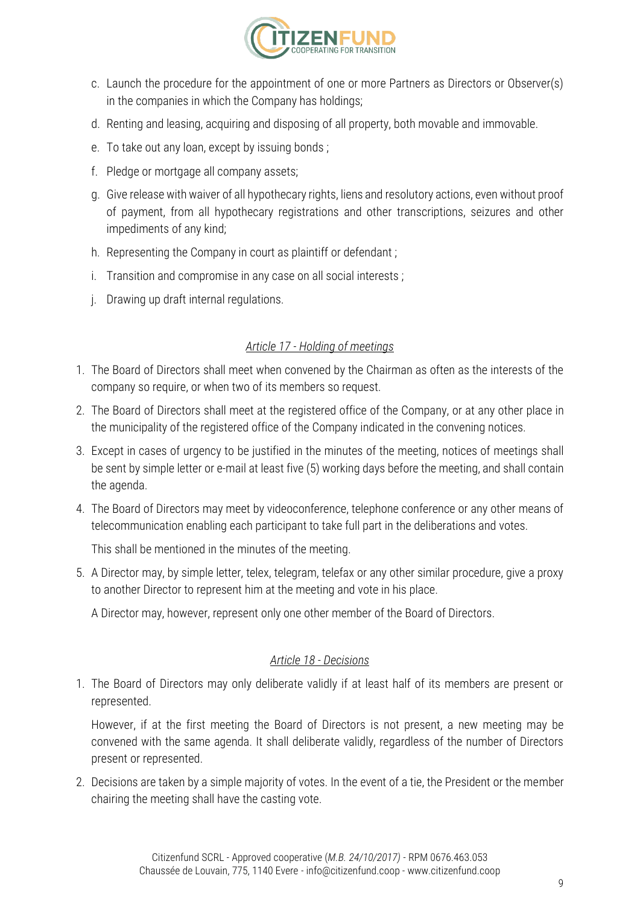

- c. Launch the procedure for the appointment of one or more Partners as Directors or Observer(s) in the companies in which the Company has holdings;
- d. Renting and leasing, acquiring and disposing of all property, both movable and immovable.
- e. To take out any loan, except by issuing bonds ;
- f. Pledge or mortgage all company assets;
- g. Give release with waiver of all hypothecary rights, liens and resolutory actions, even without proof of payment, from all hypothecary registrations and other transcriptions, seizures and other impediments of any kind;
- h. Representing the Company in court as plaintiff or defendant ;
- i. Transition and compromise in any case on all social interests ;
- j. Drawing up draft internal regulations.

#### *Article 17 - Holding of meetings*

- 1. The Board of Directors shall meet when convened by the Chairman as often as the interests of the company so require, or when two of its members so request.
- 2. The Board of Directors shall meet at the registered office of the Company, or at any other place in the municipality of the registered office of the Company indicated in the convening notices.
- 3. Except in cases of urgency to be justified in the minutes of the meeting, notices of meetings shall be sent by simple letter or e-mail at least five (5) working days before the meeting, and shall contain the agenda.
- 4. The Board of Directors may meet by videoconference, telephone conference or any other means of telecommunication enabling each participant to take full part in the deliberations and votes.

This shall be mentioned in the minutes of the meeting.

5. A Director may, by simple letter, telex, telegram, telefax or any other similar procedure, give a proxy to another Director to represent him at the meeting and vote in his place.

A Director may, however, represent only one other member of the Board of Directors.

#### *Article 18 - Decisions*

1. The Board of Directors may only deliberate validly if at least half of its members are present or represented.

However, if at the first meeting the Board of Directors is not present, a new meeting may be convened with the same agenda. It shall deliberate validly, regardless of the number of Directors present or represented.

2. Decisions are taken by a simple majority of votes. In the event of a tie, the President or the member chairing the meeting shall have the casting vote.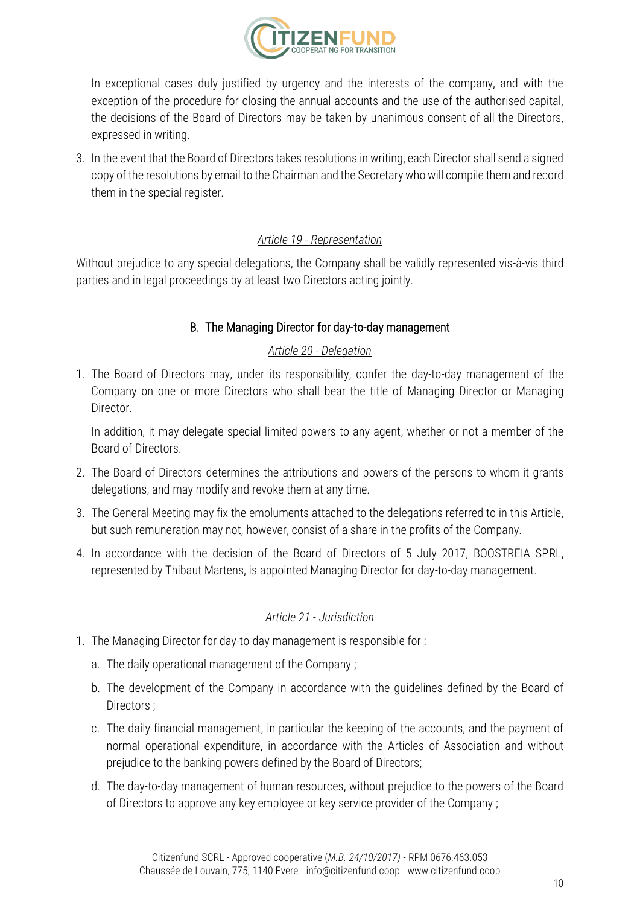

In exceptional cases duly justified by urgency and the interests of the company, and with the exception of the procedure for closing the annual accounts and the use of the authorised capital, the decisions of the Board of Directors may be taken by unanimous consent of all the Directors, expressed in writing.

3. In the event that the Board of Directors takes resolutions in writing, each Director shall send a signed copy of the resolutions by email to the Chairman and the Secretary who will compile them and record them in the special register.

#### *Article 19 - Representation*

Without prejudice to any special delegations, the Company shall be validly represented vis-à-vis third parties and in legal proceedings by at least two Directors acting jointly.

## B. The Managing Director for day-to-day management

## *Article 20 - Delegation*

1. The Board of Directors may, under its responsibility, confer the day-to-day management of the Company on one or more Directors who shall bear the title of Managing Director or Managing Director.

In addition, it may delegate special limited powers to any agent, whether or not a member of the Board of Directors.

- 2. The Board of Directors determines the attributions and powers of the persons to whom it grants delegations, and may modify and revoke them at any time.
- 3. The General Meeting may fix the emoluments attached to the delegations referred to in this Article, but such remuneration may not, however, consist of a share in the profits of the Company.
- 4. In accordance with the decision of the Board of Directors of 5 July 2017, BOOSTREIA SPRL, represented by Thibaut Martens, is appointed Managing Director for day-to-day management.

## *Article 21 - Jurisdiction*

- 1. The Managing Director for day-to-day management is responsible for :
	- a. The daily operational management of the Company ;
	- b. The development of the Company in accordance with the guidelines defined by the Board of Directors ;
	- c. The daily financial management, in particular the keeping of the accounts, and the payment of normal operational expenditure, in accordance with the Articles of Association and without prejudice to the banking powers defined by the Board of Directors;
	- d. The day-to-day management of human resources, without prejudice to the powers of the Board of Directors to approve any key employee or key service provider of the Company ;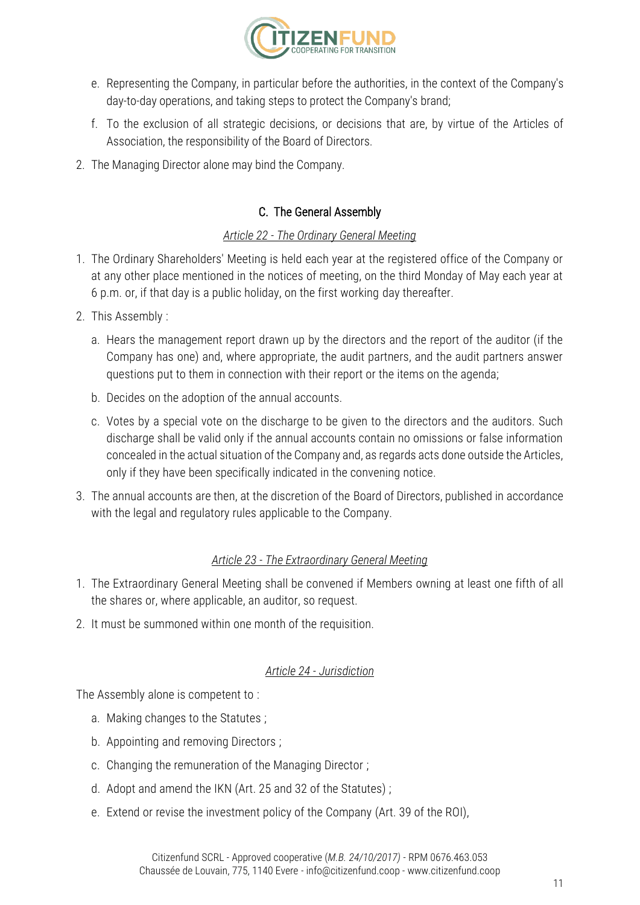

- e. Representing the Company, in particular before the authorities, in the context of the Company's day-to-day operations, and taking steps to protect the Company's brand;
- f. To the exclusion of all strategic decisions, or decisions that are, by virtue of the Articles of Association, the responsibility of the Board of Directors.
- 2. The Managing Director alone may bind the Company.

# C. The General Assembly

#### *Article 22 - The Ordinary General Meeting*

- 1. The Ordinary Shareholders' Meeting is held each year at the registered office of the Company or at any other place mentioned in the notices of meeting, on the third Monday of May each year at 6 p.m. or, if that day is a public holiday, on the first working day thereafter.
- 2. This Assembly :
	- a. Hears the management report drawn up by the directors and the report of the auditor (if the Company has one) and, where appropriate, the audit partners, and the audit partners answer questions put to them in connection with their report or the items on the agenda;
	- b. Decides on the adoption of the annual accounts.
	- c. Votes by a special vote on the discharge to be given to the directors and the auditors. Such discharge shall be valid only if the annual accounts contain no omissions or false information concealed in the actual situation of the Company and, as regards acts done outside the Articles, only if they have been specifically indicated in the convening notice.
- 3. The annual accounts are then, at the discretion of the Board of Directors, published in accordance with the legal and regulatory rules applicable to the Company.

## *Article 23 - The Extraordinary General Meeting*

- 1. The Extraordinary General Meeting shall be convened if Members owning at least one fifth of all the shares or, where applicable, an auditor, so request.
- 2. It must be summoned within one month of the requisition.

## *Article 24 - Jurisdiction*

The Assembly alone is competent to :

- a. Making changes to the Statutes ;
- b. Appointing and removing Directors ;
- c. Changing the remuneration of the Managing Director ;
- d. Adopt and amend the IKN (Art. 25 and 32 of the Statutes) ;
- e. Extend or revise the investment policy of the Company (Art. 39 of the ROI),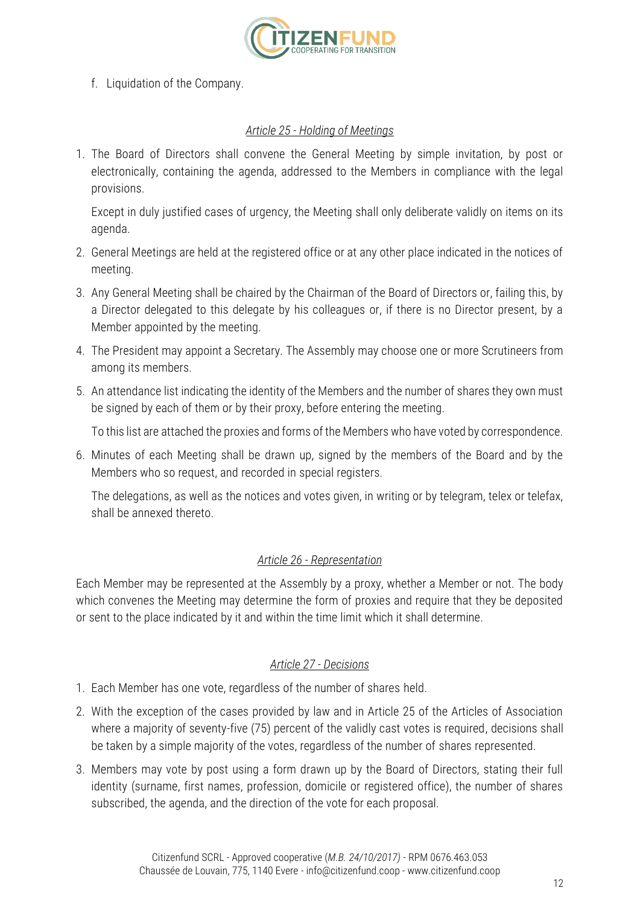

f. Liquidation of the Company.

## *Article 25 - Holding of Meetings*

1. The Board of Directors shall convene the General Meeting by simple invitation, by post or electronically, containing the agenda, addressed to the Members in compliance with the legal provisions.

Except in duly justified cases of urgency, the Meeting shall only deliberate validly on items on its agenda.

- 2. General Meetings are held at the registered office or at any other place indicated in the notices of meeting.
- 3. Any General Meeting shall be chaired by the Chairman of the Board of Directors or, failing this, by a Director delegated to this delegate by his colleagues or, if there is no Director present, by a Member appointed by the meeting.
- 4. The President may appoint a Secretary. The Assembly may choose one or more Scrutineers from among its members.
- 5. An attendance list indicating the identity of the Members and the number of shares they own must be signed by each of them or by their proxy, before entering the meeting.

To this list are attached the proxies and forms of the Members who have voted by correspondence.

6. Minutes of each Meeting shall be drawn up, signed by the members of the Board and by the Members who so request, and recorded in special registers.

The delegations, as well as the notices and votes given, in writing or by telegram, telex or telefax, shall be annexed thereto.

# *Article 26 - Representation*

Each Member may be represented at the Assembly by a proxy, whether a Member or not. The body which convenes the Meeting may determine the form of proxies and require that they be deposited or sent to the place indicated by it and within the time limit which it shall determine.

# *Article 27 - Decisions*

- 1. Each Member has one vote, regardless of the number of shares held.
- 2. With the exception of the cases provided by law and in Article 25 of the Articles of Association where a majority of seventy-five (75) percent of the validly cast votes is required, decisions shall be taken by a simple majority of the votes, regardless of the number of shares represented.
- 3. Members may vote by post using a form drawn up by the Board of Directors, stating their full identity (surname, first names, profession, domicile or registered office), the number of shares subscribed, the agenda, and the direction of the vote for each proposal.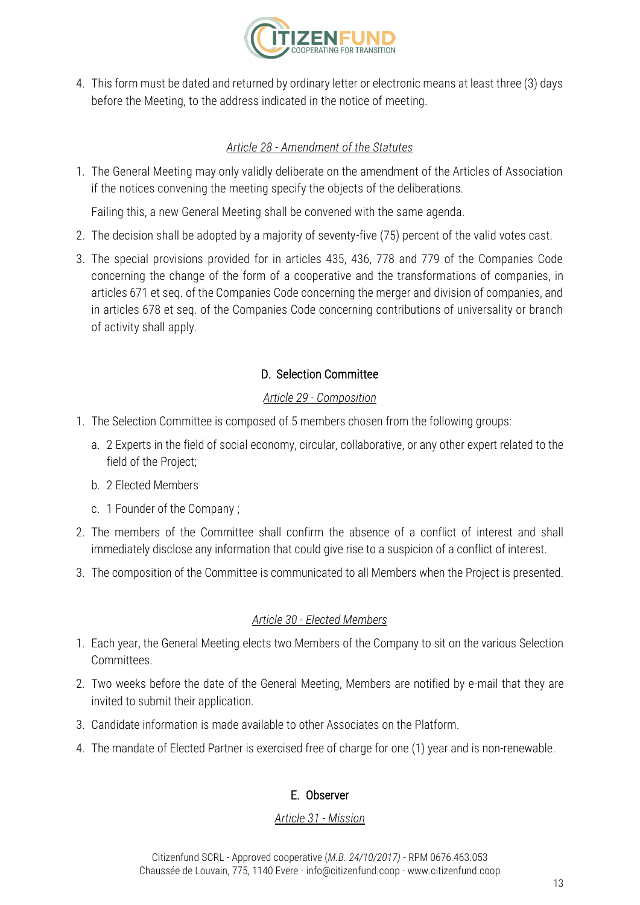

4. This form must be dated and returned by ordinary letter or electronic means at least three (3) days before the Meeting, to the address indicated in the notice of meeting.

## *Article 28 - Amendment of the Statutes*

1. The General Meeting may only validly deliberate on the amendment of the Articles of Association if the notices convening the meeting specify the objects of the deliberations.

Failing this, a new General Meeting shall be convened with the same agenda.

- 2. The decision shall be adopted by a majority of seventy-five (75) percent of the valid votes cast.
- 3. The special provisions provided for in articles 435, 436, 778 and 779 of the Companies Code concerning the change of the form of a cooperative and the transformations of companies, in articles 671 et seq. of the Companies Code concerning the merger and division of companies, and in articles 678 et seq. of the Companies Code concerning contributions of universality or branch of activity shall apply.

# D. Selection Committee

## *Article 29 - Composition*

- 1. The Selection Committee is composed of 5 members chosen from the following groups:
	- a. 2 Experts in the field of social economy, circular, collaborative, or any other expert related to the field of the Project;
	- b. 2 Elected Members
	- c. 1 Founder of the Company ;
- 2. The members of the Committee shall confirm the absence of a conflict of interest and shall immediately disclose any information that could give rise to a suspicion of a conflict of interest.
- 3. The composition of the Committee is communicated to all Members when the Project is presented.

# *Article 30 - Elected Members*

- 1. Each year, the General Meeting elects two Members of the Company to sit on the various Selection Committees.
- 2. Two weeks before the date of the General Meeting, Members are notified by e-mail that they are invited to submit their application.
- 3. Candidate information is made available to other Associates on the Platform.
- 4. The mandate of Elected Partner is exercised free of charge for one (1) year and is non-renewable.

# E. Observer

## *Article 31 - Mission*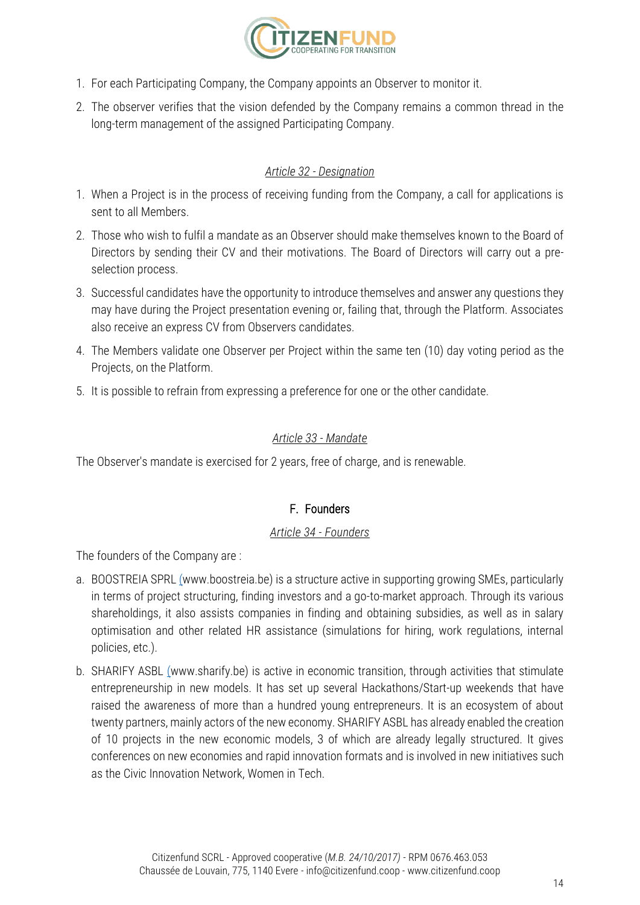

- 1. For each Participating Company, the Company appoints an Observer to monitor it.
- 2. The observer verifies that the vision defended by the Company remains a common thread in the long-term management of the assigned Participating Company.

# *Article 32 - Designation*

- 1. When a Project is in the process of receiving funding from the Company, a call for applications is sent to all Members.
- 2. Those who wish to fulfil a mandate as an Observer should make themselves known to the Board of Directors by sending their CV and their motivations. The Board of Directors will carry out a preselection process.
- 3. Successful candidates have the opportunity to introduce themselves and answer any questions they may have during the Project presentation evening or, failing that, through the Platform. Associates also receive an express CV from Observers candidates.
- 4. The Members validate one Observer per Project within the same ten (10) day voting period as the Projects, on the Platform.
- 5. It is possible to refrain from expressing a preference for one or the other candidate.

## *Article 33 - Mandate*

The Observer's mandate is exercised for 2 years, free of charge, and is renewable.

# F. Founders

# *Article 34 - Founders*

The founders of the Company are :

- a. BOOSTREIA SPR[L \(w](http://www.boostreia.be/)ww.boostreia.be) is a structure active in supporting growing SMEs, particularly in terms of project structuring, finding investors and a go-to-market approach. Through its various shareholdings, it also assists companies in finding and obtaining subsidies, as well as in salary optimisation and other related HR assistance (simulations for hiring, work regulations, internal policies, etc.).
- b. SHARIFY ASBL [\(w](http://www.sharify.be/)ww.sharify.be) is active in economic transition, through activities that stimulate entrepreneurship in new models. It has set up several Hackathons/Start-up weekends that have raised the awareness of more than a hundred young entrepreneurs. It is an ecosystem of about twenty partners, mainly actors of the new economy. SHARIFY ASBL has already enabled the creation of 10 projects in the new economic models, 3 of which are already legally structured. It gives conferences on new economies and rapid innovation formats and is involved in new initiatives such as the Civic Innovation Network, Women in Tech.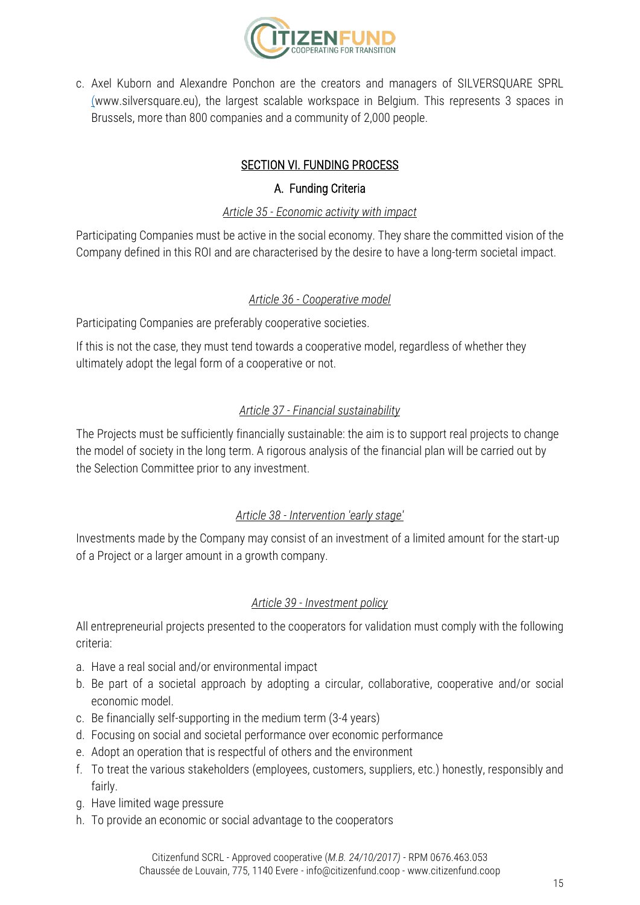

c. Axel Kuborn and Alexandre Ponchon are the creators and managers of SILVERSQUARE SPRL [\(w](http://www.silversquare.eu/)ww.silversquare.eu), the largest scalable workspace in Belgium. This represents 3 spaces in Brussels, more than 800 companies and a community of 2,000 people.

# SECTION VI. FUNDING PROCESS

## A. Funding Criteria

## *Article 35 - Economic activity with impact*

Participating Companies must be active in the social economy. They share the committed vision of the Company defined in this ROI and are characterised by the desire to have a long-term societal impact.

## *Article 36 - Cooperative model*

Participating Companies are preferably cooperative societies.

If this is not the case, they must tend towards a cooperative model, regardless of whether they ultimately adopt the legal form of a cooperative or not.

## *Article 37 - Financial sustainability*

The Projects must be sufficiently financially sustainable: the aim is to support real projects to change the model of society in the long term. A rigorous analysis of the financial plan will be carried out by the Selection Committee prior to any investment.

# *Article 38 - Intervention 'early stage'*

Investments made by the Company may consist of an investment of a limited amount for the start-up of a Project or a larger amount in a growth company.

## *Article 39 - Investment policy*

All entrepreneurial projects presented to the cooperators for validation must comply with the following criteria:

- a. Have a real social and/or environmental impact
- b. Be part of a societal approach by adopting a circular, collaborative, cooperative and/or social economic model.
- c. Be financially self-supporting in the medium term (3-4 years)
- d. Focusing on social and societal performance over economic performance
- e. Adopt an operation that is respectful of others and the environment
- f. To treat the various stakeholders (employees, customers, suppliers, etc.) honestly, responsibly and fairly.
- g. Have limited wage pressure
- h. To provide an economic or social advantage to the cooperators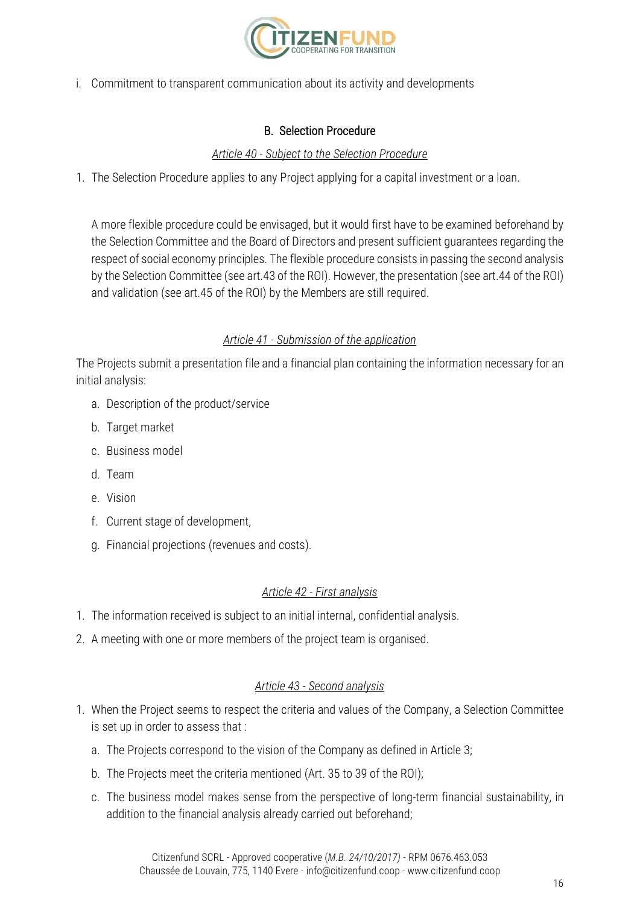

i. Commitment to transparent communication about its activity and developments

## B. Selection Procedure

#### *Article 40 - Subject to the Selection Procedure*

1. The Selection Procedure applies to any Project applying for a capital investment or a loan.

A more flexible procedure could be envisaged, but it would first have to be examined beforehand by the Selection Committee and the Board of Directors and present sufficient guarantees regarding the respect of social economy principles. The flexible procedure consists in passing the second analysis by the Selection Committee (see art.43 of the ROI). However, the presentation (see art.44 of the ROI) and validation (see art.45 of the ROI) by the Members are still required.

#### *Article 41 - Submission of the application*

The Projects submit a presentation file and a financial plan containing the information necessary for an initial analysis:

- a. Description of the product/service
- b. Target market
- c. Business model
- d. Team
- e. Vision
- f. Current stage of development,
- g. Financial projections (revenues and costs).

#### *Article 42 - First analysis*

- 1. The information received is subject to an initial internal, confidential analysis.
- 2. A meeting with one or more members of the project team is organised.

## *Article 43 - Second analysis*

- 1. When the Project seems to respect the criteria and values of the Company, a Selection Committee is set up in order to assess that :
	- a. The Projects correspond to the vision of the Company as defined in Article 3;
	- b. The Projects meet the criteria mentioned (Art. 35 to 39 of the ROI);
	- c. The business model makes sense from the perspective of long-term financial sustainability, in addition to the financial analysis already carried out beforehand;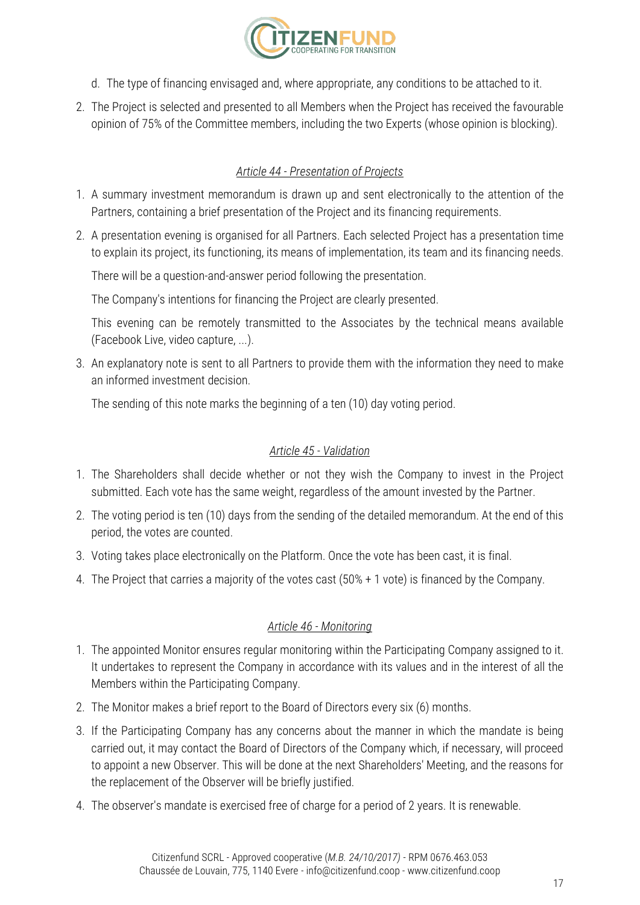

- d. The type of financing envisaged and, where appropriate, any conditions to be attached to it.
- 2. The Project is selected and presented to all Members when the Project has received the favourable opinion of 75% of the Committee members, including the two Experts (whose opinion is blocking).

# *Article 44 - Presentation of Projects*

- 1. A summary investment memorandum is drawn up and sent electronically to the attention of the Partners, containing a brief presentation of the Project and its financing requirements.
- 2. A presentation evening is organised for all Partners. Each selected Project has a presentation time to explain its project, its functioning, its means of implementation, its team and its financing needs.

There will be a question-and-answer period following the presentation.

The Company's intentions for financing the Project are clearly presented.

This evening can be remotely transmitted to the Associates by the technical means available (Facebook Live, video capture, ...).

3. An explanatory note is sent to all Partners to provide them with the information they need to make an informed investment decision.

The sending of this note marks the beginning of a ten (10) day voting period.

## *Article 45 - Validation*

- 1. The Shareholders shall decide whether or not they wish the Company to invest in the Project submitted. Each vote has the same weight, regardless of the amount invested by the Partner.
- 2. The voting period is ten (10) days from the sending of the detailed memorandum. At the end of this period, the votes are counted.
- 3. Voting takes place electronically on the Platform. Once the vote has been cast, it is final.
- 4. The Project that carries a majority of the votes cast (50% + 1 vote) is financed by the Company.

# *Article 46 - Monitoring*

- 1. The appointed Monitor ensures regular monitoring within the Participating Company assigned to it. It undertakes to represent the Company in accordance with its values and in the interest of all the Members within the Participating Company.
- 2. The Monitor makes a brief report to the Board of Directors every six (6) months.
- 3. If the Participating Company has any concerns about the manner in which the mandate is being carried out, it may contact the Board of Directors of the Company which, if necessary, will proceed to appoint a new Observer. This will be done at the next Shareholders' Meeting, and the reasons for the replacement of the Observer will be briefly justified.
- 4. The observer's mandate is exercised free of charge for a period of 2 years. It is renewable.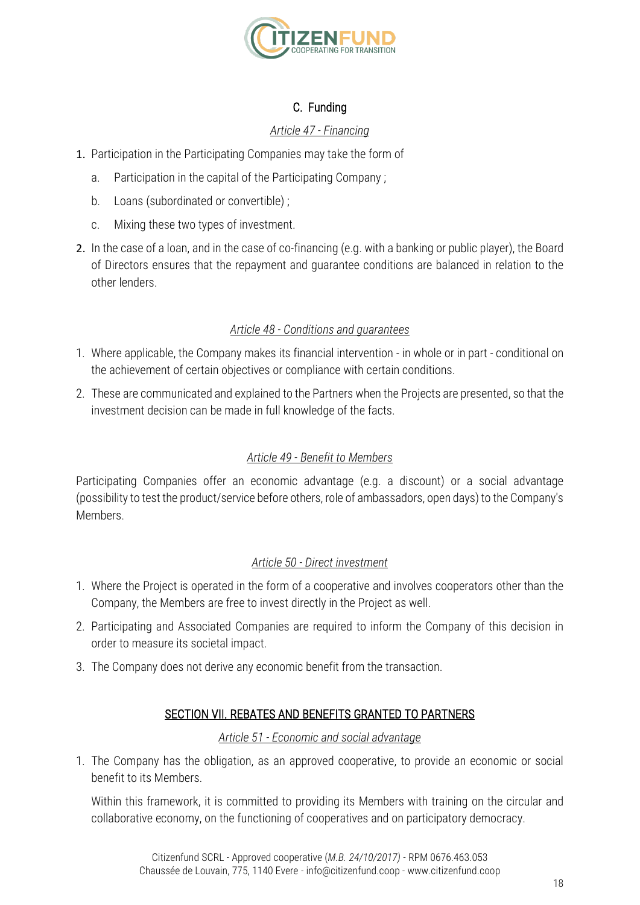

# C. Funding

## *Article 47 - Financing*

- 1. Participation in the Participating Companies may take the form of
	- a. Participation in the capital of the Participating Company ;
	- b. Loans (subordinated or convertible) ;
	- c. Mixing these two types of investment.
- 2. In the case of a loan, and in the case of co-financing (e.g. with a banking or public player), the Board of Directors ensures that the repayment and guarantee conditions are balanced in relation to the other lenders.

## *Article 48 - Conditions and guarantees*

- 1. Where applicable, the Company makes its financial intervention in whole or in part conditional on the achievement of certain objectives or compliance with certain conditions.
- 2. These are communicated and explained to the Partners when the Projects are presented, so that the investment decision can be made in full knowledge of the facts.

# *Article 49 - Benefit to Members*

Participating Companies offer an economic advantage (e.g. a discount) or a social advantage (possibility to test the product/service before others, role of ambassadors, open days) to the Company's Members.

## *Article 50 - Direct investment*

- 1. Where the Project is operated in the form of a cooperative and involves cooperators other than the Company, the Members are free to invest directly in the Project as well.
- 2. Participating and Associated Companies are required to inform the Company of this decision in order to measure its societal impact.
- 3. The Company does not derive any economic benefit from the transaction.

## SECTION VII. REBATES AND BENEFITS GRANTED TO PARTNERS

#### *Article 51 - Economic and social advantage*

1. The Company has the obligation, as an approved cooperative, to provide an economic or social benefit to its Members.

Within this framework, it is committed to providing its Members with training on the circular and collaborative economy, on the functioning of cooperatives and on participatory democracy.